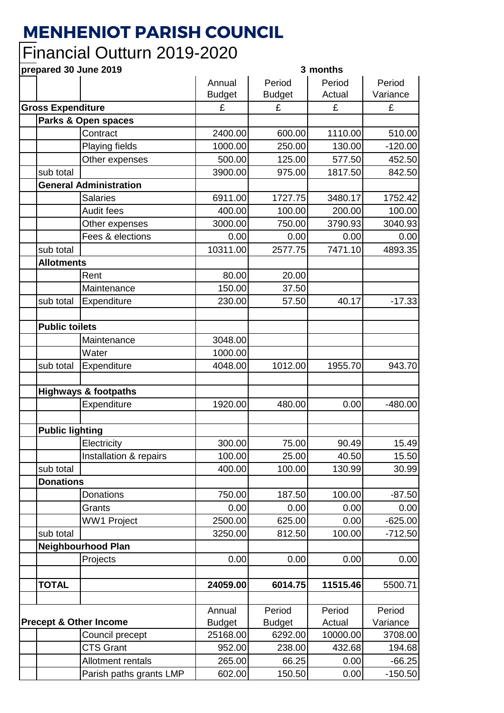## **MENHENIOT PARISH COUNCIL**

## Financial Outturn 2019-2020

## **prepared 30 June 2019 3 months**

| Annual        | Period                                 | Period                               | Period                                |
|---------------|----------------------------------------|--------------------------------------|---------------------------------------|
| <b>Budget</b> | <b>Budget</b>                          | Actual                               | Variance                              |
| £             | £                                      | £                                    | £                                     |
|               |                                        |                                      |                                       |
| 2400.00       | 600.00                                 | 1110.00                              | 510.00                                |
| 1000.00       | 250.00                                 | 130.00                               | $-120.00$                             |
| 500.00        | 125.00                                 | 577.50                               | 452.50                                |
| 3900.00       | 975.00                                 | 1817.50                              | 842.50                                |
|               |                                        |                                      |                                       |
| 6911.00       | 1727.75                                | 3480.17                              | 1752.42                               |
| 400.00        | 100.00                                 | 200.00                               | 100.00                                |
| 3000.00       | 750.00                                 | 3790.93                              | 3040.93                               |
| 0.00          | 0.00                                   | 0.00                                 | 0.00                                  |
| 10311.00      | 2577.75                                | 7471.10                              | 4893.35                               |
|               |                                        |                                      |                                       |
| 80.00         | 20.00                                  |                                      |                                       |
| 150.00        | 37.50                                  |                                      |                                       |
| 230.00        | 57.50                                  | 40.17                                | $-17.33$                              |
|               |                                        |                                      |                                       |
|               |                                        |                                      |                                       |
| 3048.00       |                                        |                                      |                                       |
| 1000.00       |                                        |                                      |                                       |
|               |                                        |                                      | 943.70                                |
|               |                                        |                                      |                                       |
|               |                                        |                                      |                                       |
| 1920.00       | 480.00                                 | 0.00                                 | $-480.00$                             |
|               |                                        |                                      |                                       |
|               |                                        |                                      |                                       |
| 300.00        | 75.00                                  | 90.49                                | 15.49                                 |
| 100.00        | 25.00                                  | 40.50                                | 15.50                                 |
| 400.00        | 100.00                                 | 130.99                               | 30.99                                 |
|               |                                        |                                      |                                       |
| 750.00        | 187.50                                 | 100.00                               | $-87.50$                              |
| 0.00          | 0.00                                   | 0.00                                 | 0.00                                  |
| 2500.00       | 625.00                                 | 0.00                                 | $-625.00$                             |
|               |                                        |                                      | $-712.50$                             |
|               |                                        |                                      |                                       |
|               |                                        |                                      | 0.00                                  |
|               |                                        |                                      |                                       |
|               |                                        |                                      | 5500.71                               |
|               |                                        |                                      |                                       |
| Annual        | Period                                 | Period                               | Period                                |
| <b>Budget</b> | <b>Budget</b>                          | Actual                               | Variance                              |
| 25168.00      | 6292.00                                | 10000.00                             | 3708.00                               |
| 952.00        | 238.00                                 | 432.68                               | 194.68                                |
| 265.00        | 66.25                                  | 0.00                                 | $-66.25$                              |
| 602.00        | 150.50                                 | 0.00                                 | $-150.50$                             |
|               | 4048.00<br>3250.00<br>0.00<br>24059.00 | 1012.00<br>812.50<br>0.00<br>6014.75 | 1955.70<br>100.00<br>0.00<br>11515.46 |